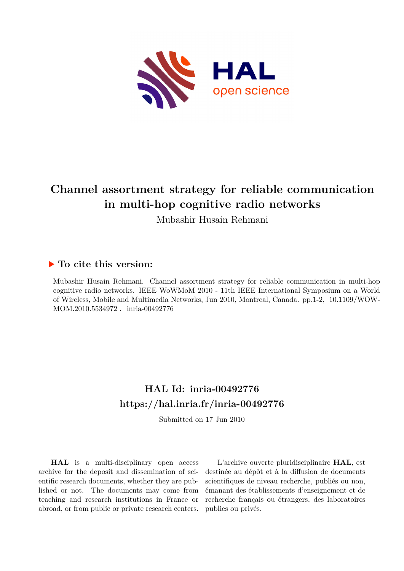

# **Channel assortment strategy for reliable communication in multi-hop cognitive radio networks**

Mubashir Husain Rehmani

### **To cite this version:**

Mubashir Husain Rehmani. Channel assortment strategy for reliable communication in multi-hop cognitive radio networks. IEEE WoWMoM 2010 - 11th IEEE International Symposium on a World of Wireless, Mobile and Multimedia Networks, Jun 2010, Montreal, Canada. pp.1-2, 10.1109/WOW-MOM.2010.5534972. inria-00492776

## **HAL Id: inria-00492776 <https://hal.inria.fr/inria-00492776>**

Submitted on 17 Jun 2010

**HAL** is a multi-disciplinary open access archive for the deposit and dissemination of scientific research documents, whether they are published or not. The documents may come from teaching and research institutions in France or abroad, or from public or private research centers.

L'archive ouverte pluridisciplinaire **HAL**, est destinée au dépôt et à la diffusion de documents scientifiques de niveau recherche, publiés ou non, émanant des établissements d'enseignement et de recherche français ou étrangers, des laboratoires publics ou privés.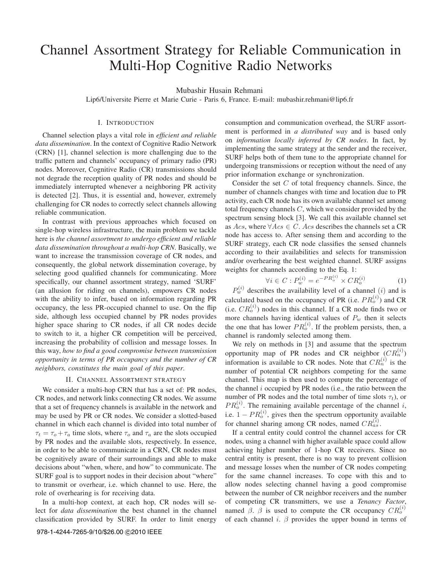# Channel Assortment Strategy for Reliable Communication in Multi-Hop Cognitive Radio Networks

Mubashir Husain Rehmani

Lip6/Universite Pierre et Marie Curie - Paris 6, France. E-mail: mubashir.rehmani@lip6.fr

#### I. INTRODUCTION

Channel selection plays a vital role in *efficient and reliable data dissemination*. In the context of Cognitive Radio Network (CRN) [1], channel selection is more challenging due to the traffic pattern and channels' occupancy of primary radio (PR) nodes. Moreover, Cognitive Radio (CR) transmissions should not degrade the reception quality of PR nodes and should be immediately interrupted whenever a neighboring PR activity is detected [2]. Thus, it is essential and, however, extremely challenging for CR nodes to correctly select channels allowing reliable communication.

In contrast with previous approaches which focused on single-hop wireless infrastructure, the main problem we tackle here is *the channel assortment to undergo efficient and reliable data dissemination throughout a multi-hop CRN*. Basically, we want to increase the transmission coverage of CR nodes, and consequently, the global network dissemination coverage, by selecting good qualified channels for communicating. More specifically, our channel assortment strategy, named 'SURF' (an allusion for riding on channels), empowers CR nodes with the ability to infer, based on information regarding PR occupancy, the less PR-occupied channel to use. On the flip side, although less occupied channel by PR nodes provides higher space sharing to CR nodes, if all CR nodes decide to switch to it, a higher CR competition will be perceived, increasing the probability of collision and message losses. In this way, *how to find a good compromise between transmission opportunity in terms of PR occupancy and the number of CR neighbors, constitutes the main goal of this paper*.

#### II. CHANNEL ASSORTMENT STRATEGY

We consider a multi-hop CRN that has a set of: PR nodes, CR nodes, and network links connecting CR nodes. We assume that a set of frequency channels is available in the network and may be used by PR or CR nodes. We consider a slotted-based channel in which each channel is divided into total number of  $\tau_t = \tau_o + \tau_a$  time slots, where  $\tau_o$  and  $\tau_a$  are the slots occupied<br>by PP nodes and the symilate alots respectively. In essence by PR nodes and the available slots, respectively. In essence, in order to be able to communicate in a CRN, CR nodes must be cognitively aware of their surroundings and able to make decisions about "when, where, and how" to communicate. The SURF goal is to support nodes in their decision about "where" to transmit or overhear, i.e. which channel to use. Here, the role of overhearing is for receiving data.

In a multi-hop context, at each hop, CR nodes will select for *data dissemination* the best channel in the channel classification provided by SURF. In order to limit energy consumption and communication overhead, the SURF assortment is performed in *a distributed way* and is based only on *information locally inferred by CR nodes*. In fact, by implementing the same strategy at the sender and the receiver, SURF helps both of them tune to the appropriate channel for undergoing transmissions or reception without the need of any prior information exchange or synchronization.

Consider the set C of total frequency channels. Since, the number of channels changes with time and location due to PR activity, each CR node has its own available channel set among total frequency channels C, which we consider provided by the spectrum sensing block [3]. We call this available channel set as  $Acs$ , where  $\forall Acs \in C$ . Acs describes the channels set a CR node has access to. After sensing them and according to the SURF strategy, each CR node classifies the sensed channels according to their availabilities and selects for transmission and/or overhearing the best weighted channel. SURF assigns weights for channels according to the Eq. 1:

$$
\forall i \in C : P_w^{(i)} = e^{-PR_o^{(i)}} \times CR_o^{(i)}
$$
 (1)

 $P_w^{(i)}$  describes the availability level of a channel (i) and is calculated based on the occupancy of PR (i.e.  $PR_0^{(i)}$ ) and CR (i.e.  $CR_o^{(i)}$ ) nodes in this channel. If a CR node finds two or more channels having identical values of  $P_w$  then it selects the one that has lower  $PR_0^{(i)}$ . If the problem persists, then, a channel is and surface of a money them. channel is randomly selected among them.

We rely on methods in [3] and assume that the spectrum opportunity map of PR nodes and CR neighbor  $(CR_n^{(i)})$ information is available to CR nodes. Note that  $CR_n^{(i)}$  is the number of notatial CB noiselbers compating for the same number of potential CR neighbors competing for the same channel. This map is then used to compute the percentage of the channel  $i$  occupied by PR nodes (i.e., the ratio between the number of PR nodes and the total number of time slots  $\tau_t$ ), or  $PR_0^{(i)}$ . The remaining available percentage of the channel i, i.e.  $1 - PR_0^{(i)}$ , gives then the spectrum opportunity available for channel sharing among CR nodes, named  $CR_{as}^{(i)}$ .

If a central entity could control the channel access for CR nodes, using a channel with higher available space could allow achieving higher number of 1-hop CR receivers. Since no central entity is present, there is no way to prevent collision and message losses when the number of CR nodes competing for the same channel increases. To cope with this and to allow nodes selecting channel having a good compromise between the number of CR neighbor receivers and the number of competing CR transmitters, we use a *Tenancy Factor*, named  $\beta$ .  $\beta$  is used to compute the CR occupancy  $CR_o^{(i)}$ of each channel i.  $\beta$  provides the upper bound in terms of